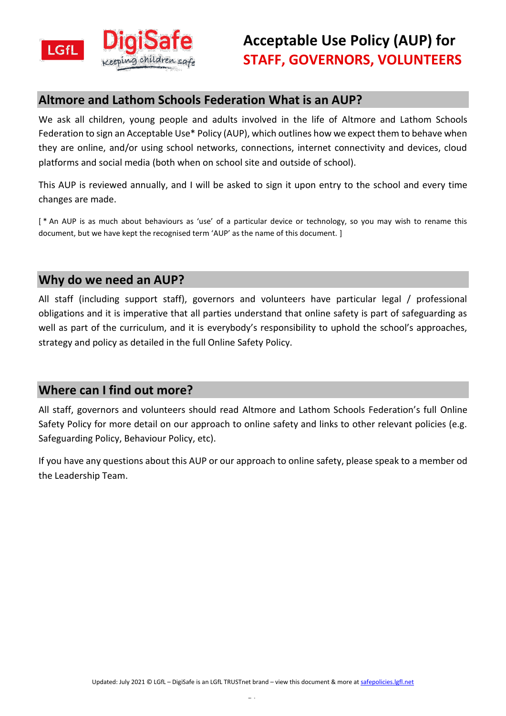

## **Altmore and Lathom Schools Federation What is an AUP?**

We ask all children, young people and adults involved in the life of Altmore and Lathom Schools Federation to sign an Acceptable Use\* Policy (AUP), which outlines how we expect them to behave when they are online, and/or using school networks, connections, internet connectivity and devices, cloud platforms and social media (both when on school site and outside of school).

This AUP is reviewed annually, and I will be asked to sign it upon entry to the school and every time changes are made.

[<sup>\*</sup> An AUP is as much about behaviours as 'use' of a particular device or technology, so you may wish to rename this document, but we have kept the recognised term 'AUP' as the name of this document. ]

## **Why do we need an AUP?**

All staff (including support staff), governors and volunteers have particular legal / professional obligations and it is imperative that all parties understand that online safety is part of safeguarding as well as part of the curriculum, and it is everybody's responsibility to uphold the school's approaches, strategy and policy as detailed in the full Online Safety Policy.

## **Where can I find out more?**

All staff, governors and volunteers should read Altmore and Lathom Schools Federation's full Online Safety Policy for more detail on our approach to online safety and links to other relevant policies (e.g. Safeguarding Policy, Behaviour Policy, etc).

If you have any questions about this AUP or our approach to online safety, please speak to a member od the Leadership Team.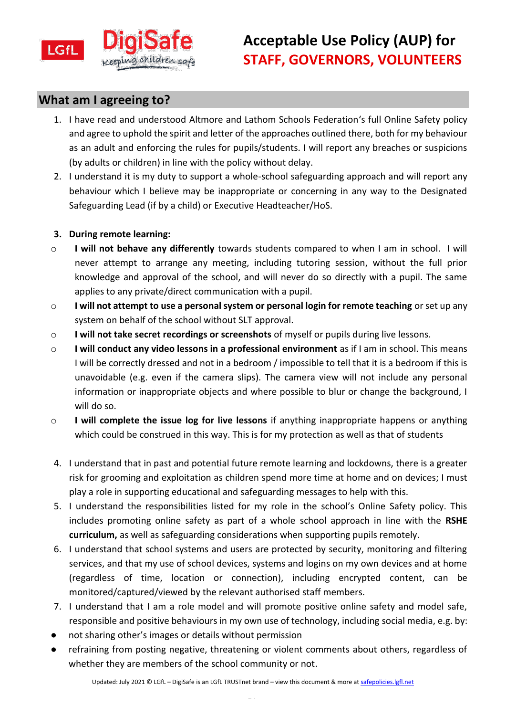

## **What am I agreeing to?**

- 1. I have read and understood Altmore and Lathom Schools Federation's full Online Safety policy and agree to uphold the spirit and letter of the approaches outlined there, both for my behaviour as an adult and enforcing the rules for pupils/students. I will report any breaches or suspicions (by adults or children) in line with the policy without delay.
- 2. I understand it is my duty to support a whole-school safeguarding approach and will report any behaviour which I believe may be inappropriate or concerning in any way to the Designated Safeguarding Lead (if by a child) or Executive Headteacher/HoS.

### **3. During remote learning:**

- o **I will not behave any differently** towards students compared to when I am in school. I will never attempt to arrange any meeting, including tutoring session, without the full prior knowledge and approval of the school, and will never do so directly with a pupil. The same applies to any private/direct communication with a pupil.
- o **I will not attempt to use a personal system or personal login for remote teaching** or set up any system on behalf of the school without SLT approval.
- o **I will not take secret recordings or screenshots** of myself or pupils during live lessons.
- o **I will conduct any video lessons in a professional environment** as if I am in school. This means I will be correctly dressed and not in a bedroom / impossible to tell that it is a bedroom if this is unavoidable (e.g. even if the camera slips). The camera view will not include any personal information or inappropriate objects and where possible to blur or change the background, I will do so.
- o **I will complete the issue log for live lessons** if anything inappropriate happens or anything which could be construed in this way. This is for my protection as well as that of students
- 4. I understand that in past and potential future remote learning and lockdowns, there is a greater risk for grooming and exploitation as children spend more time at home and on devices; I must play a role in supporting educational and safeguarding messages to help with this.
- 5. I understand the responsibilities listed for my role in the school's Online Safety policy. This includes promoting online safety as part of a whole school approach in line with the **RSHE curriculum,** as well as safeguarding considerations when supporting pupils remotely.
- 6. I understand that school systems and users are protected by security, monitoring and filtering services, and that my use of school devices, systems and logins on my own devices and at home (regardless of time, location or connection), including encrypted content, can be monitored/captured/viewed by the relevant authorised staff members.
- 7. I understand that I am a role model and will promote positive online safety and model safe, responsible and positive behaviours in my own use of technology, including social media, e.g. by:
- not sharing other's images or details without permission
- refraining from posting negative, threatening or violent comments about others, regardless of whether they are members of the school community or not.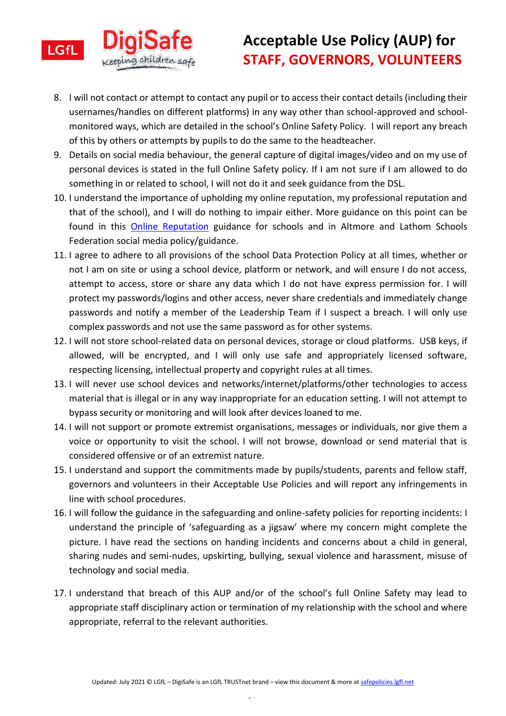

# **Acceptable Use Policy (AUP) for STAFF, GOVERNORS, VOLUNTEERS**

- 8. I will not contact or attempt to contact any pupil or to access their contact details (including their usernames/handles on different platforms) in any way other than school-approved and schoolmonitored ways, which are detailed in the school's Online Safety Policy. I will report any breach of this by others or attempts by pupils to do the same to the headteacher.
- 9. Details on social media behaviour, the general capture of digital images/video and on my use of personal devices is stated in the full Online Safety policy. If I am not sure if I am allowed to do something in or related to school, I will not do it and seek guidance from the DSL.
- 10. I understand the importance of upholding my online reputation, my professional reputation and that of the school), and I will do nothing to impair either. More guidance on this point can be found in this **[Online Reputation](http://onlinerep.lgfl.net/)** guidance for schools and in Altmore and Lathom Schools Federation social media policy/guidance.
- 11. I agree to adhere to all provisions of the school Data Protection Policy at all times, whether or not I am on site or using a school device, platform or network, and will ensure I do not access, attempt to access, store or share any data which I do not have express permission for. I will protect my passwords/logins and other access, never share credentials and immediately change passwords and notify a member of the Leadership Team if I suspect a breach. I will only use complex passwords and not use the same password as for other systems.
- 12. I will not store school-related data on personal devices, storage or cloud platforms. USB keys, if allowed, will be encrypted, and I will only use safe and appropriately licensed software, respecting licensing, intellectual property and copyright rules at all times.
- 13. I will never use school devices and networks/internet/platforms/other technologies to access material that is illegal or in any way inappropriate for an education setting. I will not attempt to bypass security or monitoring and will look after devices loaned to me.
- 14. I will not support or promote extremist organisations, messages or individuals, nor give them a voice or opportunity to visit the school. I will not browse, download or send material that is considered offensive or of an extremist nature.
- 15. I understand and support the commitments made by pupils/students, parents and fellow staff, governors and volunteers in their Acceptable Use Policies and will report any infringements in line with school procedures.
- 16. I will follow the guidance in the safeguarding and online-safety policies for reporting incidents: I understand the principle of 'safeguarding as a jigsaw' where my concern might complete the picture. I have read the sections on handing incidents and concerns about a child in general, sharing nudes and semi-nudes, upskirting, bullying, sexual violence and harassment, misuse of technology and social media.
- 17. I understand that breach of this AUP and/or of the school's full Online Safety may lead to appropriate staff disciplinary action or termination of my relationship with the school and where appropriate, referral to the relevant authorities.